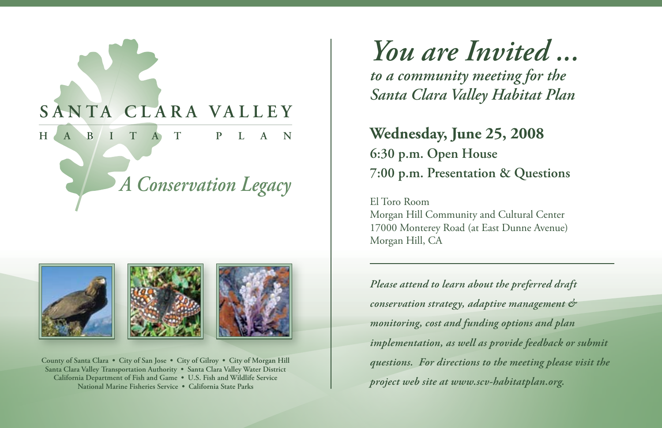



**County of Santa Clara • City of San Jose • City of Gilroy • City of Morgan Hill Santa Clara Valley Transportation Authority • Santa Clara Valley Water District California Department of Fish and Game • U.S. Fish and Wildlife Service National Marine Fisheries Service • California State Parks**

*You are Invited ... to a community meeting for the Santa Clara Valley Habitat Plan*

**Wednesday, June 25, 2008 6:30 p.m. Open House 7:00 p.m. Presentation & Questions**

El Toro Room Morgan Hill Community and Cultural Center 17000 Monterey Road (at East Dunne Avenue) Morgan Hill, CA

*Please attend to learn about the preferred draft conservation strategy, adaptive management & monitoring, cost and funding options and plan implementation, as well as provide feedback or submit questions. For directions to the meeting please visit the project web site at www.scv-habitatplan.org.*